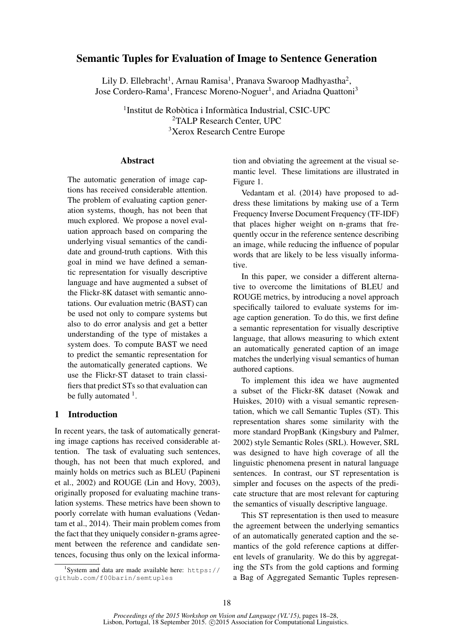# Semantic Tuples for Evaluation of Image to Sentence Generation

Lily D. Ellebracht<sup>1</sup>, Arnau Ramisa<sup>1</sup>, Pranava Swaroop Madhyastha<sup>2</sup>, Jose Cordero-Rama<sup>1</sup>, Francesc Moreno-Noguer<sup>1</sup>, and Ariadna Quattoni<sup>3</sup>

> 1 Institut de Robòtica i Informàtica Industrial, CSIC-UPC <sup>2</sup>TALP Research Center, UPC <sup>3</sup>Xerox Research Centre Europe

#### **Abstract**

The automatic generation of image captions has received considerable attention. The problem of evaluating caption generation systems, though, has not been that much explored. We propose a novel evaluation approach based on comparing the underlying visual semantics of the candidate and ground-truth captions. With this goal in mind we have defined a semantic representation for visually descriptive language and have augmented a subset of the Flickr-8K dataset with semantic annotations. Our evaluation metric (BAST) can be used not only to compare systems but also to do error analysis and get a better understanding of the type of mistakes a system does. To compute BAST we need to predict the semantic representation for the automatically generated captions. We use the Flickr-ST dataset to train classifiers that predict STs so that evaluation can be fully automated  $<sup>1</sup>$ .</sup>

## 1 Introduction

In recent years, the task of automatically generating image captions has received considerable attention. The task of evaluating such sentences, though, has not been that much explored, and mainly holds on metrics such as BLEU (Papineni et al., 2002) and ROUGE (Lin and Hovy, 2003), originally proposed for evaluating machine translation systems. These metrics have been shown to poorly correlate with human evaluations (Vedantam et al., 2014). Their main problem comes from the fact that they uniquely consider n-grams agreement between the reference and candidate sentences, focusing thus only on the lexical information and obviating the agreement at the visual semantic level. These limitations are illustrated in Figure 1.

Vedantam et al. (2014) have proposed to address these limitations by making use of a Term Frequency Inverse Document Frequency (TF-IDF) that places higher weight on n-grams that frequently occur in the reference sentence describing an image, while reducing the influence of popular words that are likely to be less visually informative.

In this paper, we consider a different alternative to overcome the limitations of BLEU and ROUGE metrics, by introducing a novel approach specifically tailored to evaluate systems for image caption generation. To do this, we first define a semantic representation for visually descriptive language, that allows measuring to which extent an automatically generated caption of an image matches the underlying visual semantics of human authored captions.

To implement this idea we have augmented a subset of the Flickr-8K dataset (Nowak and Huiskes, 2010) with a visual semantic representation, which we call Semantic Tuples (ST). This representation shares some similarity with the more standard PropBank (Kingsbury and Palmer, 2002) style Semantic Roles (SRL). However, SRL was designed to have high coverage of all the linguistic phenomena present in natural language sentences. In contrast, our ST representation is simpler and focuses on the aspects of the predicate structure that are most relevant for capturing the semantics of visually descriptive language.

This ST representation is then used to measure the agreement between the underlying semantics of an automatically generated caption and the semantics of the gold reference captions at different levels of granularity. We do this by aggregating the STs from the gold captions and forming a Bag of Aggregated Semantic Tuples represen-

<sup>&</sup>lt;sup>1</sup>System and data are made available here: https:// github.com/f00barin/semtuples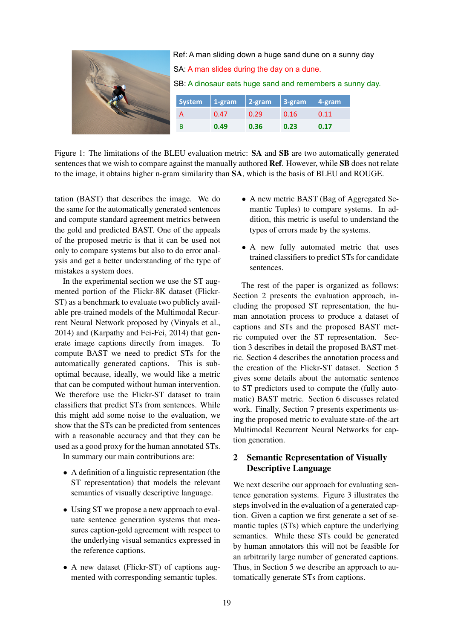

Figure 1: The limitations of the BLEU evaluation metric: SA and SB are two automatically generated sentences that we wish to compare against the manually authored **Ref**. However, while **SB** does not relate to the image, it obtains higher n-gram similarity than SA, which is the basis of BLEU and ROUGE.

tation (BAST) that describes the image. We do the same for the automatically generated sentences and compute standard agreement metrics between the gold and predicted BAST. One of the appeals of the proposed metric is that it can be used not only to compare systems but also to do error analysis and get a better understanding of the type of mistakes a system does.

In the experimental section we use the ST augmented portion of the Flickr-8K dataset (Flickr-ST) as a benchmark to evaluate two publicly available pre-trained models of the Multimodal Recurrent Neural Network proposed by (Vinyals et al., 2014) and (Karpathy and Fei-Fei, 2014) that generate image captions directly from images. To compute BAST we need to predict STs for the automatically generated captions. This is suboptimal because, ideally, we would like a metric that can be computed without human intervention. We therefore use the Flickr-ST dataset to train classifiers that predict STs from sentences. While this might add some noise to the evaluation, we show that the STs can be predicted from sentences with a reasonable accuracy and that they can be used as a good proxy for the human annotated STs.

In summary our main contributions are:

- A definition of a linguistic representation (the ST representation) that models the relevant semantics of visually descriptive language.
- Using ST we propose a new approach to evaluate sentence generation systems that measures caption-gold agreement with respect to the underlying visual semantics expressed in the reference captions.
- A new dataset (Flickr-ST) of captions augmented with corresponding semantic tuples.
- A new metric BAST (Bag of Aggregated Semantic Tuples) to compare systems. In addition, this metric is useful to understand the types of errors made by the systems.
- A new fully automated metric that uses trained classifiers to predict STs for candidate sentences.

The rest of the paper is organized as follows: Section 2 presents the evaluation approach, including the proposed ST representation, the human annotation process to produce a dataset of captions and STs and the proposed BAST metric computed over the ST representation. Section 3 describes in detail the proposed BAST metric. Section 4 describes the annotation process and the creation of the Flickr-ST dataset. Section 5 gives some details about the automatic sentence to ST predictors used to compute the (fully automatic) BAST metric. Section 6 discusses related work. Finally, Section 7 presents experiments using the proposed metric to evaluate state-of-the-art Multimodal Recurrent Neural Networks for caption generation.

# 2 Semantic Representation of Visually Descriptive Language

We next describe our approach for evaluating sentence generation systems. Figure 3 illustrates the steps involved in the evaluation of a generated caption. Given a caption we first generate a set of semantic tuples (STs) which capture the underlying semantics. While these STs could be generated by human annotators this will not be feasible for an arbitrarily large number of generated captions. Thus, in Section 5 we describe an approach to automatically generate STs from captions.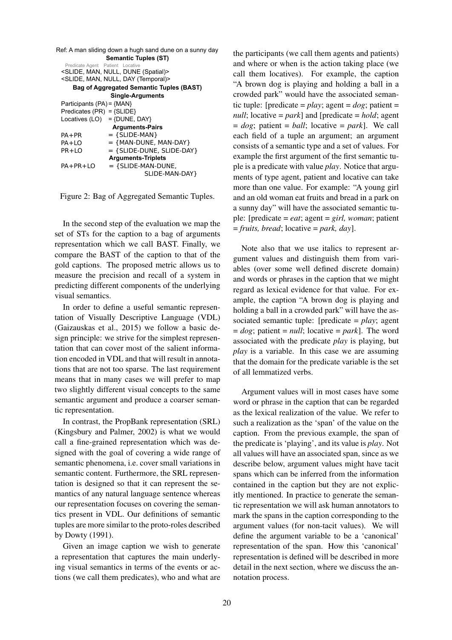| Ref: A man sliding down a hugh sand dune on a sunny day |                                  |  |  |  |  |  |
|---------------------------------------------------------|----------------------------------|--|--|--|--|--|
| <b>Semantic Tuples (ST)</b>                             |                                  |  |  |  |  |  |
| Predicate Agent Patient Locative                        |                                  |  |  |  |  |  |
| <slide, (spatial)="" dune="" man,="" null,=""></slide,> |                                  |  |  |  |  |  |
| <slide, (temporal)="" day="" man,="" null,=""></slide,> |                                  |  |  |  |  |  |
| <b>Bag of Aggregated Semantic Tuples (BAST)</b>         |                                  |  |  |  |  |  |
|                                                         | <b>Single-Arguments</b>          |  |  |  |  |  |
| Participants $(PA) = \{MAN\}$                           |                                  |  |  |  |  |  |
| Predicates (PR) = $\{SLINE\}$                           |                                  |  |  |  |  |  |
|                                                         | Locatives $(LO) = \{DUNE, DAY\}$ |  |  |  |  |  |
| <b>Arguments-Pairs</b>                                  |                                  |  |  |  |  |  |
| $PA + PR$                                               | $=$ {SLIDE-MAN}                  |  |  |  |  |  |
| PA+LO                                                   | $=$ {MAN-DUNE, MAN-DAY}          |  |  |  |  |  |
| $PR+IO$                                                 | $=$ {SLIDE-DUNE, SLIDE-DAY}      |  |  |  |  |  |
|                                                         | <b>Arguments-Triplets</b>        |  |  |  |  |  |
| PA+PR+LO                                                | $=$ {SLIDE-MAN-DUNE,             |  |  |  |  |  |
|                                                         | SLIDE-MAN-DAY}                   |  |  |  |  |  |
|                                                         |                                  |  |  |  |  |  |

Figure 2: Bag of Aggregated Semantic Tuples.

In the second step of the evaluation we map the set of STs for the caption to a bag of arguments representation which we call BAST. Finally, we compare the BAST of the caption to that of the gold captions. The proposed metric allows us to measure the precision and recall of a system in predicting different components of the underlying visual semantics.

In order to define a useful semantic representation of Visually Descriptive Language (VDL) (Gaizauskas et al., 2015) we follow a basic design principle: we strive for the simplest representation that can cover most of the salient information encoded in VDL and that will result in annotations that are not too sparse. The last requirement means that in many cases we will prefer to map two slightly different visual concepts to the same semantic argument and produce a coarser semantic representation.

In contrast, the PropBank representation (SRL) (Kingsbury and Palmer, 2002) is what we would call a fine-grained representation which was designed with the goal of covering a wide range of semantic phenomena, i.e. cover small variations in semantic content. Furthermore, the SRL representation is designed so that it can represent the semantics of any natural language sentence whereas our representation focuses on covering the semantics present in VDL. Our definitions of semantic tuples are more similar to the proto-roles described by Dowty (1991).

Given an image caption we wish to generate a representation that captures the main underlying visual semantics in terms of the events or actions (we call them predicates), who and what are the participants (we call them agents and patients) and where or when is the action taking place (we call them locatives). For example, the caption "A brown dog is playing and holding a ball in a crowded park" would have the associated semantic tuple: [predicate =  $play$ ; agent =  $dog$ ; patient = *null*; locative = *park*] and [predicate = *hold*; agent  $= dog$ ; patient  $= ball$ ; locative  $= park$ ]. We call each field of a tuple an argument; an argument consists of a semantic type and a set of values. For example the first argument of the first semantic tuple is a predicate with value *play*. Notice that arguments of type agent, patient and locative can take more than one value. For example: "A young girl and an old woman eat fruits and bread in a park on a sunny day" will have the associated semantic tuple: [predicate = *eat*; agent = *girl, woman*; patient = *fruits, bread*; locative = *park, day*].

Note also that we use italics to represent argument values and distinguish them from variables (over some well defined discrete domain) and words or phrases in the caption that we might regard as lexical evidence for that value. For example, the caption "A brown dog is playing and holding a ball in a crowded park" will have the associated semantic tuple: [predicate = *play*; agent  $= dog$ ; patient  $= null$ ; locative  $= park$ ]. The word associated with the predicate *play* is playing, but *play* is a variable. In this case we are assuming that the domain for the predicate variable is the set of all lemmatized verbs.

Argument values will in most cases have some word or phrase in the caption that can be regarded as the lexical realization of the value. We refer to such a realization as the 'span' of the value on the caption. From the previous example, the span of the predicate is 'playing', and its value is *play*. Not all values will have an associated span, since as we describe below, argument values might have tacit spans which can be inferred from the information contained in the caption but they are not explicitly mentioned. In practice to generate the semantic representation we will ask human annotators to mark the spans in the caption corresponding to the argument values (for non-tacit values). We will define the argument variable to be a 'canonical' representation of the span. How this 'canonical' representation is defined will be described in more detail in the next section, where we discuss the annotation process.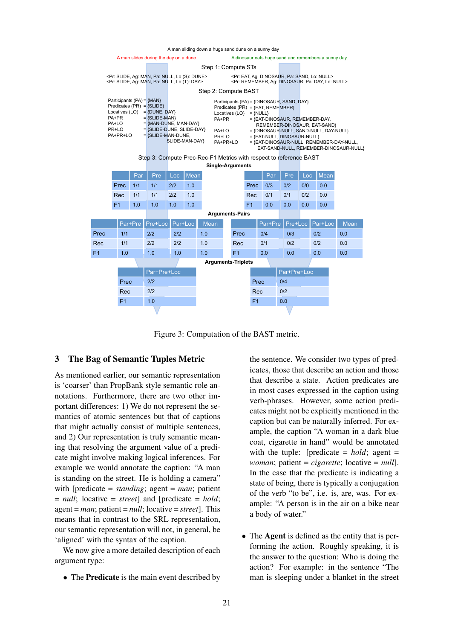A man sliding down a huge sand dune on a sunny day



Figure 3: Computation of the BAST metric.

### 3 The Bag of Semantic Tuples Metric

As mentioned earlier, our semantic representation is 'coarser' than PropBank style semantic role annotations. Furthermore, there are two other important differences: 1) We do not represent the semantics of atomic sentences but that of captions that might actually consist of multiple sentences, and 2) Our representation is truly semantic meaning that resolving the argument value of a predicate might involve making logical inferences. For example we would annotate the caption: "A man is standing on the street. He is holding a camera" with [predicate = *standing*; agent = *man*; patient = *null*; locative = *street*] and [predicate = *hold*; agent = *man*; patient = *null*; locative = *street*]. This means that in contrast to the SRL representation, our semantic representation will not, in general, be 'aligned' with the syntax of the caption.

We now give a more detailed description of each argument type:

• The Predicate is the main event described by

the sentence. We consider two types of predicates, those that describe an action and those that describe a state. Action predicates are in most cases expressed in the caption using verb-phrases. However, some action predicates might not be explicitly mentioned in the caption but can be naturally inferred. For example, the caption "A woman in a dark blue coat, cigarette in hand" would be annotated with the tuple: [predicate  $= hold$ ; agent  $=$ *woman*; patient = *cigarette*; locative = *null*]. In the case that the predicate is indicating a state of being, there is typically a conjugation of the verb "to be", i.e. is, are, was. For example: "A person is in the air on a bike near a body of water."

• The **Agent** is defined as the entity that is performing the action. Roughly speaking, it is the answer to the question: Who is doing the action? For example: in the sentence "The man is sleeping under a blanket in the street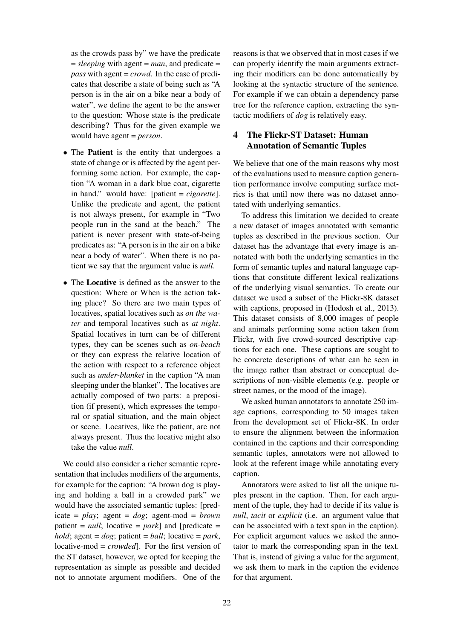as the crowds pass by" we have the predicate  $=$  *sleeping* with agent  $=$  *man*, and predicate  $=$ *pass* with agent = *crowd*. In the case of predicates that describe a state of being such as "A person is in the air on a bike near a body of water", we define the agent to be the answer to the question: Whose state is the predicate describing? Thus for the given example we would have agent = *person*.

- The **Patient** is the entity that undergoes a state of change or is affected by the agent performing some action. For example, the caption "A woman in a dark blue coat, cigarette in hand." would have: [patient = *cigarette*]. Unlike the predicate and agent, the patient is not always present, for example in "Two people run in the sand at the beach." The patient is never present with state-of-being predicates as: "A person is in the air on a bike near a body of water". When there is no patient we say that the argument value is *null*.
- The Locative is defined as the answer to the question: Where or When is the action taking place? So there are two main types of locatives, spatial locatives such as *on the water* and temporal locatives such as *at night*. Spatial locatives in turn can be of different types, they can be scenes such as *on-beach* or they can express the relative location of the action with respect to a reference object such as *under-blanket* in the caption "A man sleeping under the blanket". The locatives are actually composed of two parts: a preposition (if present), which expresses the temporal or spatial situation, and the main object or scene. Locatives, like the patient, are not always present. Thus the locative might also take the value *null*.

We could also consider a richer semantic representation that includes modifiers of the arguments, for example for the caption: "A brown dog is playing and holding a ball in a crowded park" we would have the associated semantic tuples: [pred $i$ cate =  $play$ ; agent =  $dog$ ; agent-mod = *brown* patient  $= null$ ; locative  $= park$ ] and [predicate  $=$ *hold*; agent = *dog*; patient = *ball*; locative = *park*, locative-mod = *crowded*]. For the first version of the ST dataset, however, we opted for keeping the representation as simple as possible and decided not to annotate argument modifiers. One of the reasons is that we observed that in most cases if we can properly identify the main arguments extracting their modifiers can be done automatically by looking at the syntactic structure of the sentence. For example if we can obtain a dependency parse tree for the reference caption, extracting the syntactic modifiers of *dog* is relatively easy.

## 4 The Flickr-ST Dataset: Human Annotation of Semantic Tuples

We believe that one of the main reasons why most of the evaluations used to measure caption generation performance involve computing surface metrics is that until now there was no dataset annotated with underlying semantics.

To address this limitation we decided to create a new dataset of images annotated with semantic tuples as described in the previous section. Our dataset has the advantage that every image is annotated with both the underlying semantics in the form of semantic tuples and natural language captions that constitute different lexical realizations of the underlying visual semantics. To create our dataset we used a subset of the Flickr-8K dataset with captions, proposed in (Hodosh et al., 2013). This dataset consists of 8,000 images of people and animals performing some action taken from Flickr, with five crowd-sourced descriptive captions for each one. These captions are sought to be concrete descriptions of what can be seen in the image rather than abstract or conceptual descriptions of non-visible elements (e.g. people or street names, or the mood of the image).

We asked human annotators to annotate 250 image captions, corresponding to 50 images taken from the development set of Flickr-8K. In order to ensure the alignment between the information contained in the captions and their corresponding semantic tuples, annotators were not allowed to look at the referent image while annotating every caption.

Annotators were asked to list all the unique tuples present in the caption. Then, for each argument of the tuple, they had to decide if its value is *null*, *tacit* or *explicit* (i.e. an argument value that can be associated with a text span in the caption). For explicit argument values we asked the annotator to mark the corresponding span in the text. That is, instead of giving a value for the argument, we ask them to mark in the caption the evidence for that argument.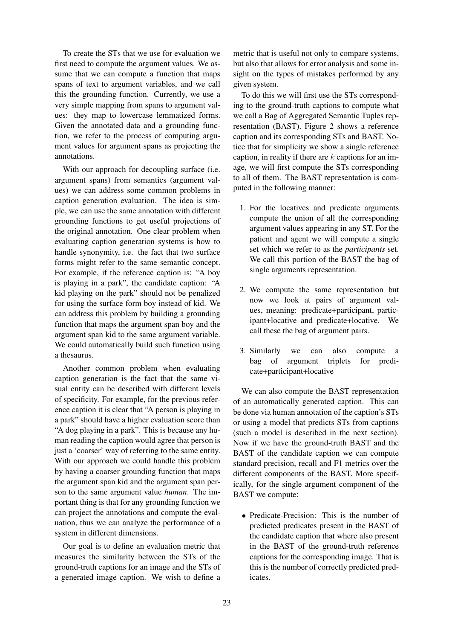To create the STs that we use for evaluation we first need to compute the argument values. We assume that we can compute a function that maps spans of text to argument variables, and we call this the grounding function. Currently, we use a very simple mapping from spans to argument values: they map to lowercase lemmatized forms. Given the annotated data and a grounding function, we refer to the process of computing argument values for argument spans as projecting the annotations.

With our approach for decoupling surface (i.e. argument spans) from semantics (argument values) we can address some common problems in caption generation evaluation. The idea is simple, we can use the same annotation with different grounding functions to get useful projections of the original annotation. One clear problem when evaluating caption generation systems is how to handle synonymity, i.e. the fact that two surface forms might refer to the same semantic concept. For example, if the reference caption is: "A boy is playing in a park", the candidate caption: "A kid playing on the park" should not be penalized for using the surface form boy instead of kid. We can address this problem by building a grounding function that maps the argument span boy and the argument span kid to the same argument variable. We could automatically build such function using a thesaurus.

Another common problem when evaluating caption generation is the fact that the same visual entity can be described with different levels of specificity. For example, for the previous reference caption it is clear that "A person is playing in a park" should have a higher evaluation score than "A dog playing in a park". This is because any human reading the caption would agree that person is just a 'coarser' way of referring to the same entity. With our approach we could handle this problem by having a coarser grounding function that maps the argument span kid and the argument span person to the same argument value *human*. The important thing is that for any grounding function we can project the annotations and compute the evaluation, thus we can analyze the performance of a system in different dimensions.

Our goal is to define an evaluation metric that measures the similarity between the STs of the ground-truth captions for an image and the STs of a generated image caption. We wish to define a

metric that is useful not only to compare systems, but also that allows for error analysis and some insight on the types of mistakes performed by any given system.

To do this we will first use the STs corresponding to the ground-truth captions to compute what we call a Bag of Aggregated Semantic Tuples representation (BAST). Figure 2 shows a reference caption and its corresponding STs and BAST. Notice that for simplicity we show a single reference caption, in reality if there are  $k$  captions for an image, we will first compute the STs corresponding to all of them. The BAST representation is computed in the following manner:

- 1. For the locatives and predicate arguments compute the union of all the corresponding argument values appearing in any ST. For the patient and agent we will compute a single set which we refer to as the *participants* set. We call this portion of the BAST the bag of single arguments representation.
- 2. We compute the same representation but now we look at pairs of argument values, meaning: predicate+participant, participant+locative and predicate+locative. We call these the bag of argument pairs.
- 3. Similarly we can also compute a bag of argument triplets for predicate+participant+locative

We can also compute the BAST representation of an automatically generated caption. This can be done via human annotation of the caption's STs or using a model that predicts STs from captions (such a model is described in the next section). Now if we have the ground-truth BAST and the BAST of the candidate caption we can compute standard precision, recall and F1 metrics over the different components of the BAST. More specifically, for the single argument component of the BAST we compute:

• Predicate-Precision: This is the number of predicted predicates present in the BAST of the candidate caption that where also present in the BAST of the ground-truth reference captions for the corresponding image. That is this is the number of correctly predicted predicates.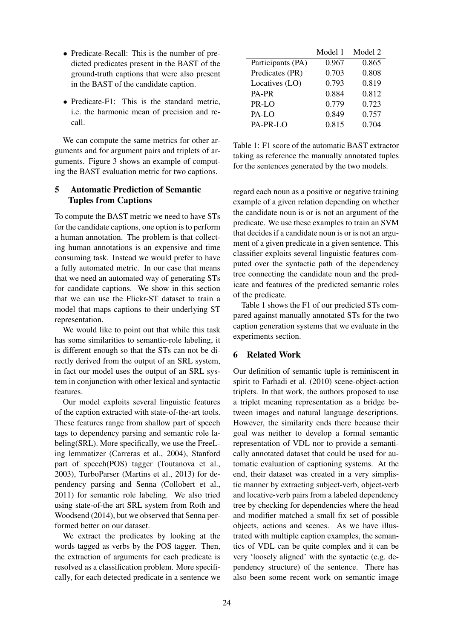- Predicate-Recall: This is the number of predicted predicates present in the BAST of the ground-truth captions that were also present in the BAST of the candidate caption.
- Predicate-F1: This is the standard metric, i.e. the harmonic mean of precision and recall.

We can compute the same metrics for other arguments and for argument pairs and triplets of arguments. Figure 3 shows an example of computing the BAST evaluation metric for two captions.

## 5 Automatic Prediction of Semantic Tuples from Captions

To compute the BAST metric we need to have STs for the candidate captions, one option is to perform a human annotation. The problem is that collecting human annotations is an expensive and time consuming task. Instead we would prefer to have a fully automated metric. In our case that means that we need an automated way of generating STs for candidate captions. We show in this section that we can use the Flickr-ST dataset to train a model that maps captions to their underlying ST representation.

We would like to point out that while this task has some similarities to semantic-role labeling, it is different enough so that the STs can not be directly derived from the output of an SRL system, in fact our model uses the output of an SRL system in conjunction with other lexical and syntactic features.

Our model exploits several linguistic features of the caption extracted with state-of-the-art tools. These features range from shallow part of speech tags to dependency parsing and semantic role labeling(SRL). More specifically, we use the FreeLing lemmatizer (Carreras et al., 2004), Stanford part of speech(POS) tagger (Toutanova et al., 2003), TurboParser (Martins et al., 2013) for dependency parsing and Senna (Collobert et al., 2011) for semantic role labeling. We also tried using state-of-the art SRL system from Roth and Woodsend (2014), but we observed that Senna performed better on our dataset.

We extract the predicates by looking at the words tagged as verbs by the POS tagger. Then, the extraction of arguments for each predicate is resolved as a classification problem. More specifically, for each detected predicate in a sentence we

|                   | Model 1 | Model 2 |
|-------------------|---------|---------|
| Participants (PA) | 0.967   | 0.865   |
| Predicates (PR)   | 0.703   | 0.808   |
| Locatives (LO)    | 0.793   | 0.819   |
| PA-PR             | 0.884   | 0.812   |
| PR-LO             | 0.779   | 0.723   |
| PA-LO             | 0.849   | 0.757   |
| PA-PR-LO          | 0.815   | 0.704   |

Table 1: F1 score of the automatic BAST extractor taking as reference the manually annotated tuples for the sentences generated by the two models.

regard each noun as a positive or negative training example of a given relation depending on whether the candidate noun is or is not an argument of the predicate. We use these examples to train an SVM that decides if a candidate noun is or is not an argument of a given predicate in a given sentence. This classifier exploits several linguistic features computed over the syntactic path of the dependency tree connecting the candidate noun and the predicate and features of the predicted semantic roles of the predicate.

Table 1 shows the F1 of our predicted STs compared against manually annotated STs for the two caption generation systems that we evaluate in the experiments section.

## 6 Related Work

Our definition of semantic tuple is reminiscent in spirit to Farhadi et al. (2010) scene-object-action triplets. In that work, the authors proposed to use a triplet meaning representation as a bridge between images and natural language descriptions. However, the similarity ends there because their goal was neither to develop a formal semantic representation of VDL nor to provide a semantically annotated dataset that could be used for automatic evaluation of captioning systems. At the end, their dataset was created in a very simplistic manner by extracting subject-verb, object-verb and locative-verb pairs from a labeled dependency tree by checking for dependencies where the head and modifier matched a small fix set of possible objects, actions and scenes. As we have illustrated with multiple caption examples, the semantics of VDL can be quite complex and it can be very 'loosely aligned' with the syntactic (e.g. dependency structure) of the sentence. There has also been some recent work on semantic image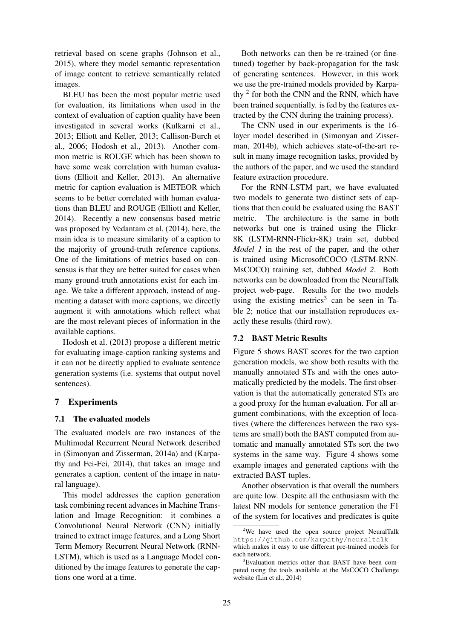retrieval based on scene graphs (Johnson et al., 2015), where they model semantic representation of image content to retrieve semantically related images.

BLEU has been the most popular metric used for evaluation, its limitations when used in the context of evaluation of caption quality have been investigated in several works (Kulkarni et al., 2013; Elliott and Keller, 2013; Callison-Burch et al., 2006; Hodosh et al., 2013). Another common metric is ROUGE which has been shown to have some weak correlation with human evaluations (Elliott and Keller, 2013). An alternative metric for caption evaluation is METEOR which seems to be better correlated with human evaluations than BLEU and ROUGE (Elliott and Keller, 2014). Recently a new consensus based metric was proposed by Vedantam et al. (2014), here, the main idea is to measure similarity of a caption to the majority of ground-truth reference captions. One of the limitations of metrics based on consensus is that they are better suited for cases when many ground-truth annotations exist for each image. We take a different approach, instead of augmenting a dataset with more captions, we directly augment it with annotations which reflect what are the most relevant pieces of information in the available captions.

Hodosh et al. (2013) propose a different metric for evaluating image-caption ranking systems and it can not be directly applied to evaluate sentence generation systems (i.e. systems that output novel sentences).

## 7 Experiments

#### 7.1 The evaluated models

The evaluated models are two instances of the Multimodal Recurrent Neural Network described in (Simonyan and Zisserman, 2014a) and (Karpathy and Fei-Fei, 2014), that takes an image and generates a caption. content of the image in natural language).

This model addresses the caption generation task combining recent advances in Machine Translation and Image Recognition: it combines a Convolutional Neural Network (CNN) initially trained to extract image features, and a Long Short Term Memory Recurrent Neural Network (RNN-LSTM), which is used as a Language Model conditioned by the image features to generate the captions one word at a time.

Both networks can then be re-trained (or finetuned) together by back-propagation for the task of generating sentences. However, in this work we use the pre-trained models provided by Karpathy <sup>2</sup> for both the CNN and the RNN, which have been trained sequentially. is fed by the features extracted by the CNN during the training process).

The CNN used in our experiments is the 16 layer model described in (Simonyan and Zisserman, 2014b), which achieves state-of-the-art result in many image recognition tasks, provided by the authors of the paper, and we used the standard feature extraction procedure.

For the RNN-LSTM part, we have evaluated two models to generate two distinct sets of captions that then could be evaluated using the BAST metric. The architecture is the same in both networks but one is trained using the Flickr-8K (LSTM-RNN-Flickr-8K) train set, dubbed *Model 1* in the rest of the paper, and the other is trained using MicrosoftCOCO (LSTM-RNN-MsCOCO) training set, dubbed *Model 2*. Both networks can be downloaded from the NeuralTalk project web-page. Results for the two models using the existing metrics<sup>3</sup> can be seen in Table 2; notice that our installation reproduces exactly these results (third row).

#### 7.2 BAST Metric Results

Figure 5 shows BAST scores for the two caption generation models, we show both results with the manually annotated STs and with the ones automatically predicted by the models. The first observation is that the automatically generated STs are a good proxy for the human evaluation. For all argument combinations, with the exception of locatives (where the differences between the two systems are small) both the BAST computed from automatic and manually annotated STs sort the two systems in the same way. Figure 4 shows some example images and generated captions with the extracted BAST tuples.

Another observation is that overall the numbers are quite low. Despite all the enthusiasm with the latest NN models for sentence generation the F1 of the system for locatives and predicates is quite

<sup>&</sup>lt;sup>2</sup>We have used the open source project NeuralTalk https://github.com/karpathy/neuraltalk which makes it easy to use different pre-trained models for each network.

<sup>&</sup>lt;sup>3</sup>Evaluation metrics other than BAST have been computed using the tools available at the MsCOCO Challenge website (Lin et al., 2014)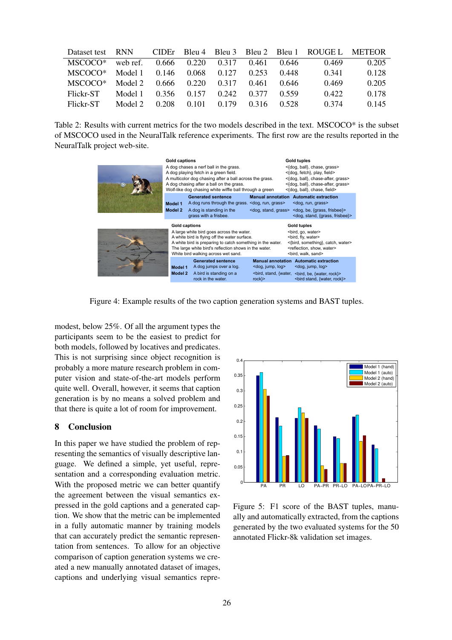| Dataset test | <b>RNN</b> |       |       |       |       |       | CIDEr Bleu 4 Bleu 3 Bleu 2 Bleu 1 ROUGE L METEOR |       |
|--------------|------------|-------|-------|-------|-------|-------|--------------------------------------------------|-------|
| MSCOCO*      | web ref.   | 0.666 | 0.220 | 0.317 | 0.461 | 0.646 | 0.469                                            | 0.205 |
| MSCOCO*      | Model 1    | 0.146 | 0.068 | 0.127 | 0.253 | 0.448 | 0.341                                            | 0.128 |
| MSCOCO*      | Model 2    | 0.666 | 0.220 | 0.317 | 0.461 | 0.646 | 0.469                                            | 0.205 |
| Flickr-ST    | Model 1    | 0.356 | 0.157 | 0.242 | 0.377 | 0.559 | 0.422                                            | 0.178 |
| Flickr-ST    | Model 2    | 0.208 | 0.101 | 0.179 | 0.316 | 0.528 | 0.374                                            | 0.145 |

Table 2: Results with current metrics for the two models described in the text. MSCOCO\* is the subset of MSCOCO used in the NeuralTalk reference experiments. The first row are the results reported in the NeuralTalk project web-site.



Figure 4: Example results of the two caption generation systems and BAST tuples.

modest, below 25%. Of all the argument types the participants seem to be the easiest to predict for both models, followed by locatives and predicates. This is not surprising since object recognition is probably a more mature research problem in computer vision and state-of-the-art models perform quite well. Overall, however, it seems that caption generation is by no means a solved problem and that there is quite a lot of room for improvement.

## 8 Conclusion

In this paper we have studied the problem of representing the semantics of visually descriptive language. We defined a simple, yet useful, representation and a corresponding evaluation metric. With the proposed metric we can better quantify the agreement between the visual semantics expressed in the gold captions and a generated caption. We show that the metric can be implemented in a fully automatic manner by training models that can accurately predict the semantic representation from sentences. To allow for an objective comparison of caption generation systems we created a new manually annotated dataset of images, captions and underlying visual semantics repre-



Figure 5: F1 score of the BAST tuples, manually and automatically extracted, from the captions generated by the two evaluated systems for the 50 annotated Flickr-8k validation set images.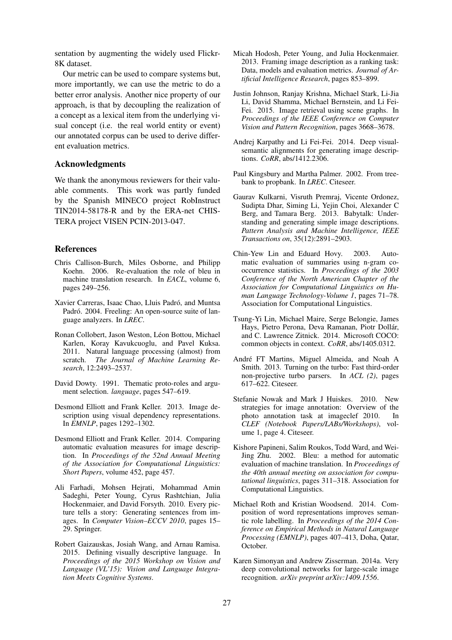sentation by augmenting the widely used Flickr-8K dataset.

Our metric can be used to compare systems but, more importantly, we can use the metric to do a better error analysis. Another nice property of our approach, is that by decoupling the realization of a concept as a lexical item from the underlying visual concept (i.e. the real world entity or event) our annotated corpus can be used to derive different evaluation metrics.

#### Acknowledgments

We thank the anonymous reviewers for their valuable comments. This work was partly funded by the Spanish MINECO project RobInstruct TIN2014-58178-R and by the ERA-net CHIS-TERA project VISEN PCIN-2013-047.

#### References

- Chris Callison-Burch, Miles Osborne, and Philipp Koehn. 2006. Re-evaluation the role of bleu in machine translation research. In *EACL*, volume 6, pages 249–256.
- Xavier Carreras, Isaac Chao, Lluis Padró, and Muntsa Padró. 2004. Freeling: An open-source suite of language analyzers. In *LREC*.
- Ronan Collobert, Jason Weston, Léon Bottou, Michael Karlen, Koray Kavukcuoglu, and Pavel Kuksa. 2011. Natural language processing (almost) from scratch. *The Journal of Machine Learning Research*, 12:2493–2537.
- David Dowty. 1991. Thematic proto-roles and argument selection. *language*, pages 547–619.
- Desmond Elliott and Frank Keller. 2013. Image description using visual dependency representations. In *EMNLP*, pages 1292–1302.
- Desmond Elliott and Frank Keller. 2014. Comparing automatic evaluation measures for image description. In *Proceedings of the 52nd Annual Meeting of the Association for Computational Linguistics: Short Papers*, volume 452, page 457.
- Ali Farhadi, Mohsen Hejrati, Mohammad Amin Sadeghi, Peter Young, Cyrus Rashtchian, Julia Hockenmaier, and David Forsyth. 2010. Every picture tells a story: Generating sentences from images. In *Computer Vision–ECCV 2010*, pages 15– 29. Springer.
- Robert Gaizauskas, Josiah Wang, and Arnau Ramisa. 2015. Defining visually descriptive language. In *Proceedings of the 2015 Workshop on Vision and Language (VL'15): Vision and Language Integration Meets Cognitive Systems*.
- Micah Hodosh, Peter Young, and Julia Hockenmaier. 2013. Framing image description as a ranking task: Data, models and evaluation metrics. *Journal of Artificial Intelligence Research*, pages 853–899.
- Justin Johnson, Ranjay Krishna, Michael Stark, Li-Jia Li, David Shamma, Michael Bernstein, and Li Fei-Fei. 2015. Image retrieval using scene graphs. In *Proceedings of the IEEE Conference on Computer Vision and Pattern Recognition*, pages 3668–3678.
- Andrej Karpathy and Li Fei-Fei. 2014. Deep visualsemantic alignments for generating image descriptions. *CoRR*, abs/1412.2306.
- Paul Kingsbury and Martha Palmer. 2002. From treebank to propbank. In *LREC*. Citeseer.
- Gaurav Kulkarni, Visruth Premraj, Vicente Ordonez, Sudipta Dhar, Siming Li, Yejin Choi, Alexander C Berg, and Tamara Berg. 2013. Babytalk: Understanding and generating simple image descriptions. *Pattern Analysis and Machine Intelligence, IEEE Transactions on*, 35(12):2891–2903.
- Chin-Yew Lin and Eduard Hovy. 2003. Automatic evaluation of summaries using n-gram cooccurrence statistics. In *Proceedings of the 2003 Conference of the North American Chapter of the Association for Computational Linguistics on Human Language Technology-Volume 1*, pages 71–78. Association for Computational Linguistics.
- Tsung-Yi Lin, Michael Maire, Serge Belongie, James Hays, Pietro Perona, Deva Ramanan, Piotr Dollár, and C. Lawrence Zitnick. 2014. Microsoft COCO: common objects in context. *CoRR*, abs/1405.0312.
- André FT Martins, Miguel Almeida, and Noah A Smith. 2013. Turning on the turbo: Fast third-order non-projective turbo parsers. In *ACL (2)*, pages 617–622. Citeseer.
- Stefanie Nowak and Mark J Huiskes. 2010. New strategies for image annotation: Overview of the photo annotation task at imageclef 2010. In *CLEF (Notebook Papers/LABs/Workshops)*, volume 1, page 4. Citeseer.
- Kishore Papineni, Salim Roukos, Todd Ward, and Wei-Jing Zhu. 2002. Bleu: a method for automatic evaluation of machine translation. In *Proceedings of the 40th annual meeting on association for computational linguistics*, pages 311–318. Association for Computational Linguistics.
- Michael Roth and Kristian Woodsend. 2014. Composition of word representations improves semantic role labelling. In *Proceedings of the 2014 Conference on Empirical Methods in Natural Language Processing (EMNLP)*, pages 407–413, Doha, Qatar, October.
- Karen Simonyan and Andrew Zisserman. 2014a. Very deep convolutional networks for large-scale image recognition. *arXiv preprint arXiv:1409.1556*.